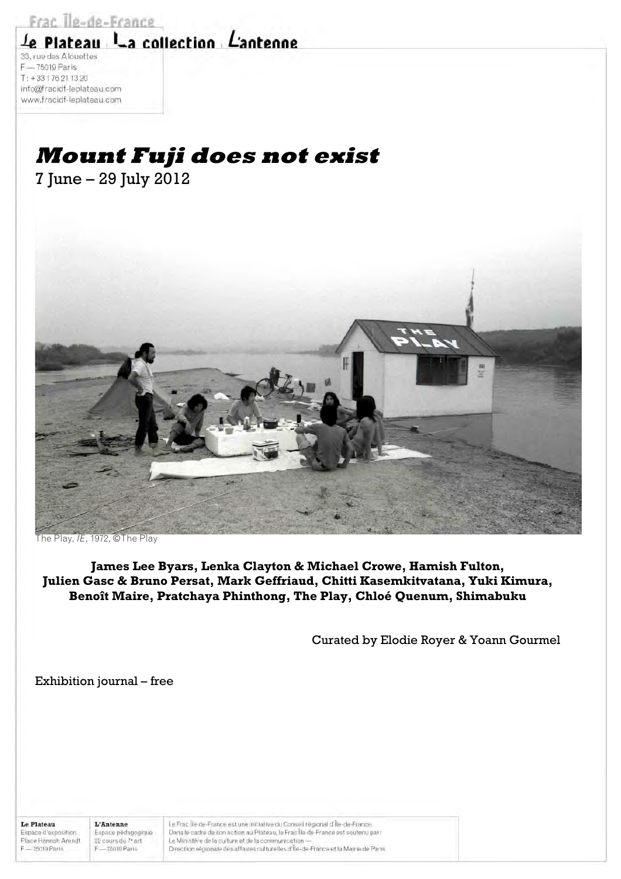Frac Ile-de-France

# Le Plateau La collection L'antenne

33, rue des Alouettes F - 75019 Paris  $T: +33176211320$ info@fracidf-leplateau.com www.fracidf-leplateau.com

# **Mount Fuji does not exist**

7 June – 29 July 2012



The Play, *IE*, 1972, ©The Play

**James Lee Byars, Lenka Clayton & Michael Crowe, Hamish Fulton, Julien Gasc & Bruno Persat, Mark Geffriaud, Chitti Kasemkitvatana, Yuki Kimura, Benoît Maire, Pratchaya Phinthong, The Play, Chloé Quenum, Shimabuku**

Curated by Elodie Royer & Yoann Gourmel

Exhibition journal – free

**Le Plateau** Espace d'exposition Place Hannah Arendt F-75019 Paris

L'Antenne Espace pédagogique 22 cours du 7<sup>\*</sup> art F-75019 Paris

Le Frac Île-de-France est une initiative du Conseil régional d'Île-de-France. Dans le cadre de son action au Plateau, le Frac Île-de-France est soutenu par: Le Ministère de la culture et de la communication-Direction régionale des affaires culturelles d'Île-de-France et la Mairie de Paris.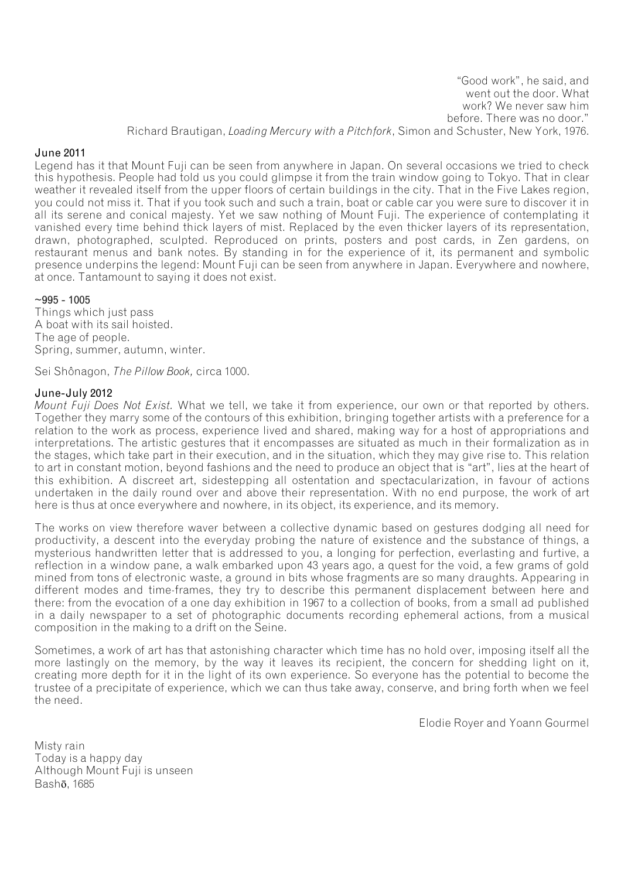"Good work", he said, and went out the door. What work? We never saw him before. There was no door." Richard Brautigan, *Loading Mercury with a Pitchfork*, Simon and Schuster, New York, 1976.

### June 2011

Legend has it that Mount Fuji can be seen from anywhere in Japan. On several occasions we tried to check this hypothesis. People had told us you could glimpse it from the train window going to Tokyo. That in clear weather it revealed itself from the upper floors of certain buildings in the city. That in the Five Lakes region, you could not miss it. That if you took such and such a train, boat or cable car you were sure to discover it in all its serene and conical majesty. Yet we saw nothing of Mount Fuji. The experience of contemplating it vanished every time behind thick layers of mist. Replaced by the even thicker layers of its representation, drawn, photographed, sculpted. Reproduced on prints, posters and post cards, in Zen gardens, on restaurant menus and bank notes. By standing in for the experience of it, its permanent and symbolic presence underpins the legend: Mount Fuji can be seen from anywhere in Japan. Everywhere and nowhere, at once. Tantamount to saying it does not exist.

#### $~1005 - 1005$

Things which just pass A boat with its sail hoisted. The age of people. Spring, summer, autumn, winter.

Sei Shônagon, *The Pillow Book,* circa 1000.

#### June-July 2012

*Mount Fuji Does Not Exist.* What we tell, we take it from experience, our own or that reported by others. Together they marry some of the contours of this exhibition, bringing together artists with a preference for a relation to the work as process, experience lived and shared, making way for a host of appropriations and interpretations. The artistic gestures that it encompasses are situated as much in their formalization as in the stages, which take part in their execution, and in the situation, which they may give rise to. This relation to art in constant motion, beyond fashions and the need to produce an object that is "art", lies at the heart of this exhibition. A discreet art, sidestepping all ostentation and spectacularization, in favour of actions undertaken in the daily round over and above their representation. With no end purpose, the work of art here is thus at once everywhere and nowhere, in its object, its experience, and its memory.

The works on view therefore waver between a collective dynamic based on gestures dodging all need for productivity, a descent into the everyday probing the nature of existence and the substance of things, a mysterious handwritten letter that is addressed to you, a longing for perfection, everlasting and furtive, a reflection in a window pane, a walk embarked upon 43 years ago, a quest for the void, a few grams of gold mined from tons of electronic waste, a ground in bits whose fragments are so many draughts. Appearing in different modes and time-frames, they try to describe this permanent displacement between here and there: from the evocation of a one day exhibition in 1967 to a collection of books, from a small ad published in a daily newspaper to a set of photographic documents recording ephemeral actions, from a musical composition in the making to a drift on the Seine.

Sometimes, a work of art has that astonishing character which time has no hold over, imposing itself all the more lastingly on the memory, by the way it leaves its recipient, the concern for shedding light on it, creating more depth for it in the light of its own experience. So everyone has the potential to become the trustee of a precipitate of experience, which we can thus take away, conserve, and bring forth when we feel the need.

Elodie Royer and Yoann Gourmel

Misty rain Today is a happy day Although Mount Fuji is unseen Bashō, 1685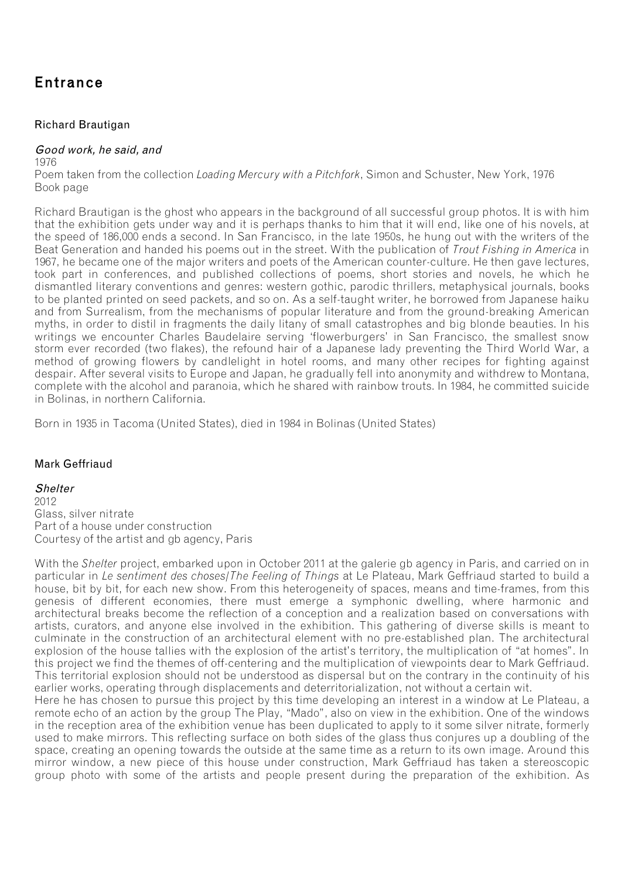## Entrance

### Richard Brautigan

#### Good work, he said, and

1976

Poem taken from the collection *Loading Mercury with a Pitchfork*, Simon and Schuster, New York, 1976 Book page

Richard Brautigan is the ghost who appears in the background of all successful group photos. It is with him that the exhibition gets under way and it is perhaps thanks to him that it will end, like one of his novels, at the speed of 186,000 ends a second. In San Francisco, in the late 1950s, he hung out with the writers of the Beat Generation and handed his poems out in the street. With the publication of *Trout Fishing in America* in 1967, he became one of the major writers and poets of the American counter-culture. He then gave lectures, took part in conferences, and published collections of poems, short stories and novels, he which he dismantled literary conventions and genres: western gothic, parodic thrillers, metaphysical journals, books to be planted printed on seed packets, and so on. As a self-taught writer, he borrowed from Japanese haiku and from Surrealism, from the mechanisms of popular literature and from the ground-breaking American myths, in order to distil in fragments the daily litany of small catastrophes and big blonde beauties. In his writings we encounter Charles Baudelaire serving 'flowerburgers' in San Francisco, the smallest snow storm ever recorded (two flakes), the refound hair of a Japanese lady preventing the Third World War, a method of growing flowers by candlelight in hotel rooms, and many other recipes for fighting against despair. After several visits to Europe and Japan, he gradually fell into anonymity and withdrew to Montana, complete with the alcohol and paranoia, which he shared with rainbow trouts. In 1984, he committed suicide in Bolinas, in northern California.

Born in 1935 in Tacoma (United States), died in 1984 in Bolinas (United States)

### Mark Geffriaud

### **Shelter**

2012 Glass, silver nitrate Part of a house under construction Courtesy of the artist and gb agency, Paris

With the *Shelter* project, embarked upon in October 2011 at the galerie gb agency in Paris, and carried on in particular in *Le sentiment des choses/The Feeling of Things* at Le Plateau, Mark Geffriaud started to build a house, bit by bit, for each new show. From this heterogeneity of spaces, means and time-frames, from this genesis of different economies, there must emerge a symphonic dwelling, where harmonic and architectural breaks become the reflection of a conception and a realization based on conversations with artists, curators, and anyone else involved in the exhibition. This gathering of diverse skills is meant to culminate in the construction of an architectural element with no pre-established plan. The architectural explosion of the house tallies with the explosion of the artist's territory, the multiplication of "at homes". In this project we find the themes of off-centering and the multiplication of viewpoints dear to Mark Geffriaud. This territorial explosion should not be understood as dispersal but on the contrary in the continuity of his earlier works, operating through displacements and deterritorialization, not without a certain wit.

Here he has chosen to pursue this project by this time developing an interest in a window at Le Plateau, a remote echo of an action by the group The Play, "Mado", also on view in the exhibition. One of the windows in the reception area of the exhibition venue has been duplicated to apply to it some silver nitrate, formerly used to make mirrors. This reflecting surface on both sides of the glass thus conjures up a doubling of the space, creating an opening towards the outside at the same time as a return to its own image. Around this mirror window, a new piece of this house under construction, Mark Geffriaud has taken a stereoscopic group photo with some of the artists and people present during the preparation of the exhibition. As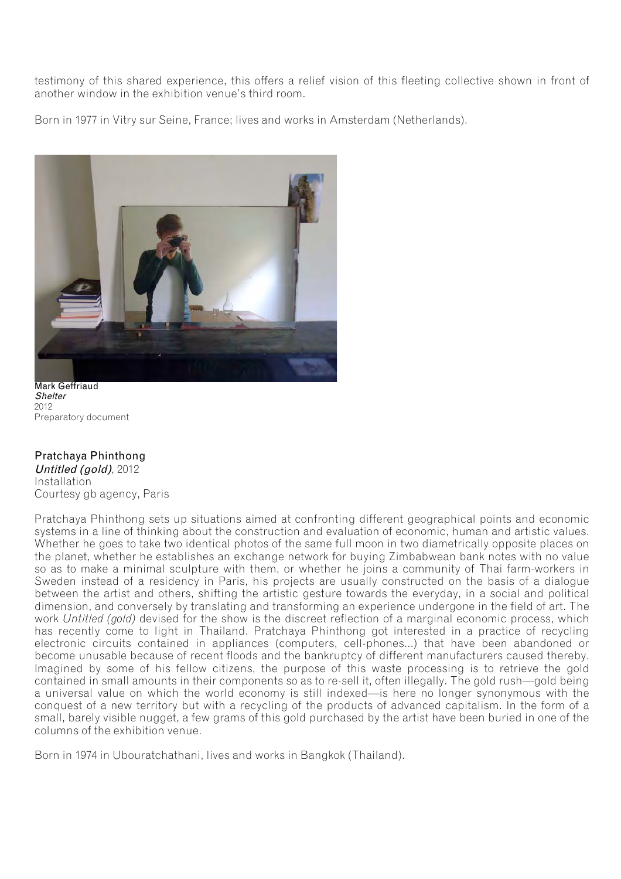testimony of this shared experience, this offers a relief vision of this fleeting collective shown in front of another window in the exhibition venue's third room.

Born in 1977 in Vitry sur Seine, France; lives and works in Amsterdam (Netherlands).



Mark Geffriaud **Shelter** 2012 Preparatory document

### Pratchaya Phinthong Untitled (gold), 2012

Installation Courtesy gb agency, Paris

Pratchaya Phinthong sets up situations aimed at confronting different geographical points and economic systems in a line of thinking about the construction and evaluation of economic, human and artistic values. Whether he goes to take two identical photos of the same full moon in two diametrically opposite places on the planet, whether he establishes an exchange network for buying Zimbabwean bank notes with no value so as to make a minimal sculpture with them, or whether he joins a community of Thai farm-workers in Sweden instead of a residency in Paris, his projects are usually constructed on the basis of a dialogue between the artist and others, shifting the artistic gesture towards the everyday, in a social and political dimension, and conversely by translating and transforming an experience undergone in the field of art. The work *Untitled (gold)* devised for the show is the discreet reflection of a marginal economic process, which has recently come to light in Thailand. Pratchaya Phinthong got interested in a practice of recycling electronic circuits contained in appliances (computers, cell-phones...) that have been abandoned or become unusable because of recent floods and the bankruptcy of different manufacturers caused thereby. Imagined by some of his fellow citizens, the purpose of this waste processing is to retrieve the gold contained in small amounts in their components so as to re-sell it, often illegally. The gold rush—gold being a universal value on which the world economy is still indexed—is here no longer synonymous with the conquest of a new territory but with a recycling of the products of advanced capitalism. In the form of a small, barely visible nugget, a few grams of this gold purchased by the artist have been buried in one of the columns of the exhibition venue.

Born in 1974 in Ubouratchathani, lives and works in Bangkok (Thailand).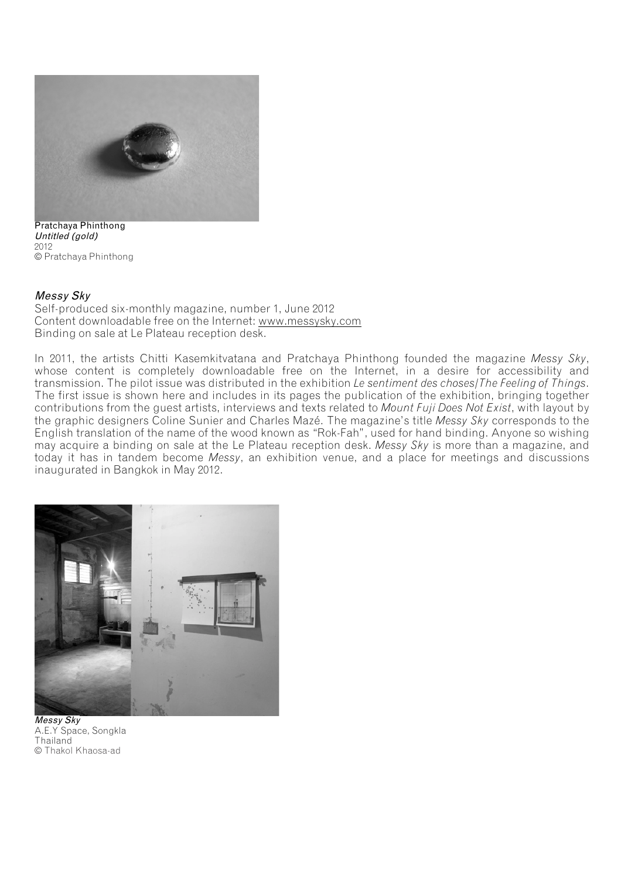

Pratchaya Phinthong Untitled (gold) 2012 © Pratchaya Phinthong

#### Messy Sky

Self-produced six-monthly magazine, number 1, June 2012 Content downloadable free on the Internet: www.messysky.com Binding on sale at Le Plateau reception desk.

In 2011, the artists Chitti Kasemkitvatana and Pratchaya Phinthong founded the magazine *Messy Sky*, whose content is completely downloadable free on the Internet, in a desire for accessibility and transmission. The pilot issue was distributed in the exhibition *Le sentiment des choses/The Feeling of Things*. The first issue is shown here and includes in its pages the publication of the exhibition, bringing together contributions from the guest artists, interviews and texts related to *Mount Fuji Does Not Exist*, with layout by the graphic designers Coline Sunier and Charles Mazé. The magazine's title *Messy Sky* corresponds to the English translation of the name of the wood known as "Rok-Fah", used for hand binding. Anyone so wishing may acquire a binding on sale at the Le Plateau reception desk. *Messy Sky* is more than a magazine, and today it has in tandem become *Messy*, an exhibition venue, and a place for meetings and discussions inaugurated in Bangkok in May 2012.



Messy Sky A.E.Y Space, Songkla **Thailand** © Thakol Khaosa-ad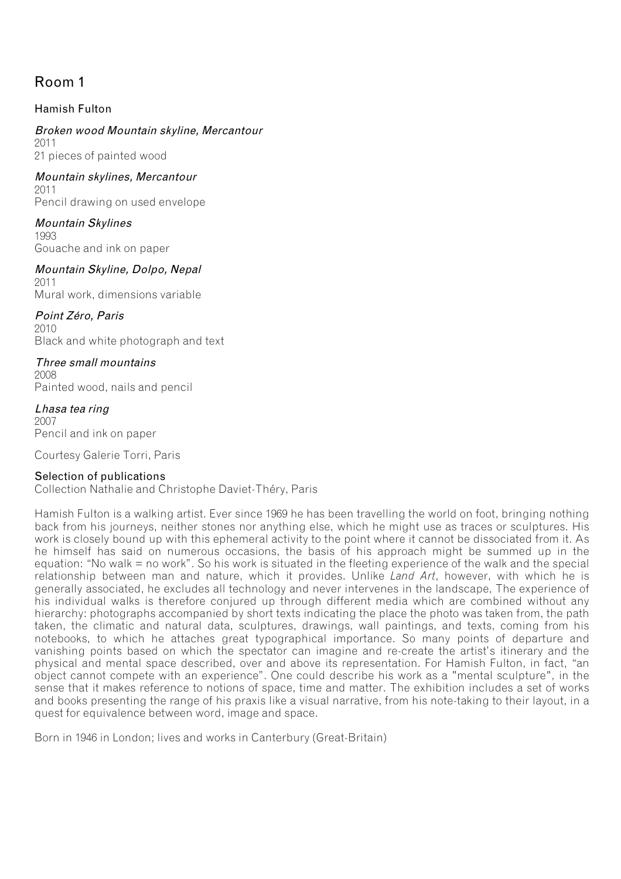## Room 1

## Hamish Fulton

## Broken wood Mountain skyline, Mercantour

2011 21 pieces of painted wood

Mountain skylines, Mercantour 2011 Pencil drawing on used envelope

Mountain Skylines 1993 Gouache and ink on paper

Mountain Skyline, Dolpo, Nepal 2011 Mural work, dimensions variable

Point Zéro, Paris 2010 Black and white photograph and text

Three small mountains 2008 Painted wood, nails and pencil

Lhasa tea ring 2007 Pencil and ink on paper

Courtesy Galerie Torri, Paris

### Selection of publications

Collection Nathalie and Christophe Daviet-Théry, Paris

Hamish Fulton is a walking artist. Ever since 1969 he has been travelling the world on foot, bringing nothing back from his journeys, neither stones nor anything else, which he might use as traces or sculptures. His work is closely bound up with this ephemeral activity to the point where it cannot be dissociated from it. As he himself has said on numerous occasions, the basis of his approach might be summed up in the equation: "No walk = no work". So his work is situated in the fleeting experience of the walk and the special relationship between man and nature, which it provides. Unlike *Land Art*, however, with which he is generally associated, he excludes all technology and never intervenes in the landscape, The experience of his individual walks is therefore conjured up through different media which are combined without any hierarchy: photographs accompanied by short texts indicating the place the photo was taken from, the path taken, the climatic and natural data, sculptures, drawings, wall paintings, and texts, coming from his notebooks, to which he attaches great typographical importance. So many points of departure and vanishing points based on which the spectator can imagine and re-create the artist's itinerary and the physical and mental space described, over and above its representation. For Hamish Fulton, in fact, "an object cannot compete with an experience". One could describe his work as a "mental sculpture", in the sense that it makes reference to notions of space, time and matter. The exhibition includes a set of works and books presenting the range of his praxis like a visual narrative, from his note-taking to their layout, in a quest for equivalence between word, image and space.

Born in 1946 in London; lives and works in Canterbury (Great-Britain)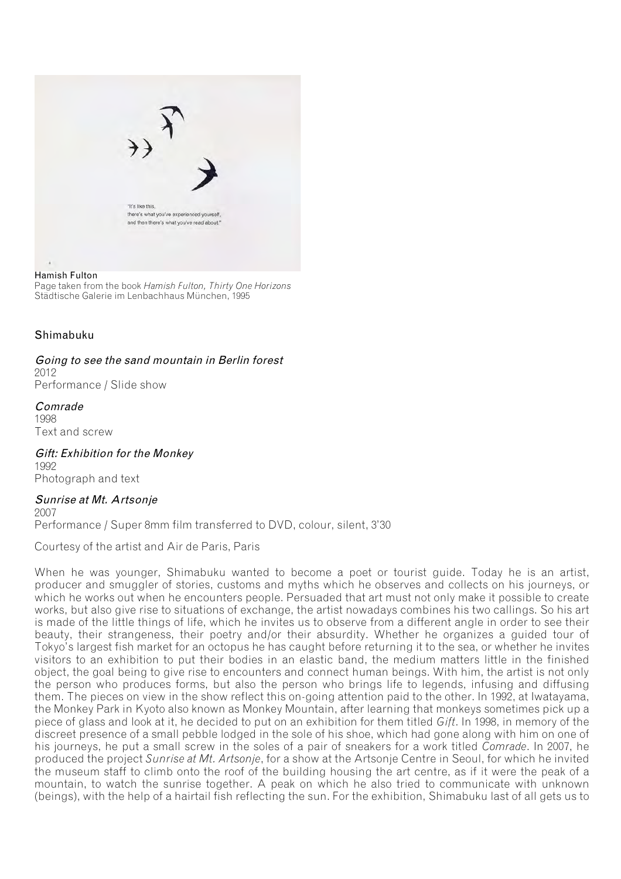

#### Hamish Fulton

Page taken from the book *Hamish Fulton, Thirty One Horizons* Städtische Galerie im Lenbachhaus München, 1995

#### Shimabuku

Going to see the sand mountain in Berlin forest 2012 Performance / Slide show

Comrade 1998 Text and screw

Gift: Exhibition for the Monkey 1992 Photograph and text

Sunrise at Mt. Artsonje 2007 Performance / Super 8mm film transferred to DVD, colour, silent, 3'30

Courtesy of the artist and Air de Paris, Paris

When he was younger, Shimabuku wanted to become a poet or tourist guide. Today he is an artist, producer and smuggler of stories, customs and myths which he observes and collects on his journeys, or which he works out when he encounters people. Persuaded that art must not only make it possible to create works, but also give rise to situations of exchange, the artist nowadays combines his two callings. So his art is made of the little things of life, which he invites us to observe from a different angle in order to see their beauty, their strangeness, their poetry and/or their absurdity. Whether he organizes a guided tour of Tokyo's largest fish market for an octopus he has caught before returning it to the sea, or whether he invites visitors to an exhibition to put their bodies in an elastic band, the medium matters little in the finished object, the goal being to give rise to encounters and connect human beings. With him, the artist is not only the person who produces forms, but also the person who brings life to legends, infusing and diffusing them. The pieces on view in the show reflect this on-going attention paid to the other. In 1992, at Iwatayama, the Monkey Park in Kyoto also known as Monkey Mountain, after learning that monkeys sometimes pick up a piece of glass and look at it, he decided to put on an exhibition for them titled *Gift*. In 1998, in memory of the discreet presence of a small pebble lodged in the sole of his shoe, which had gone along with him on one of his journeys, he put a small screw in the soles of a pair of sneakers for a work titled *Comrade*. In 2007, he produced the project *Sunrise at Mt. Artsonje*, for a show at the Artsonje Centre in Seoul, for which he invited the museum staff to climb onto the roof of the building housing the art centre, as if it were the peak of a mountain, to watch the sunrise together. A peak on which he also tried to communicate with unknown (beings), with the help of a hairtail fish reflecting the sun. For the exhibition, Shimabuku last of all gets us to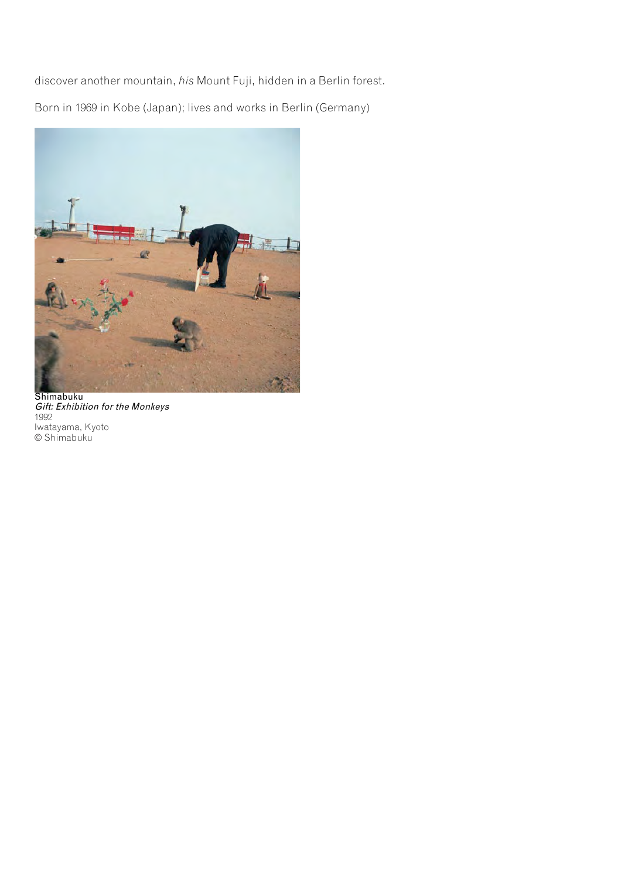discover another mountain, *his* Mount Fuji, hidden in a Berlin forest.

Born in 1969 in Kobe (Japan); lives and works in Berlin (Germany)



Shimabuku Gift: Exhibition for the Monkeys 1992 Iwatayama, Kyoto © Shimabuku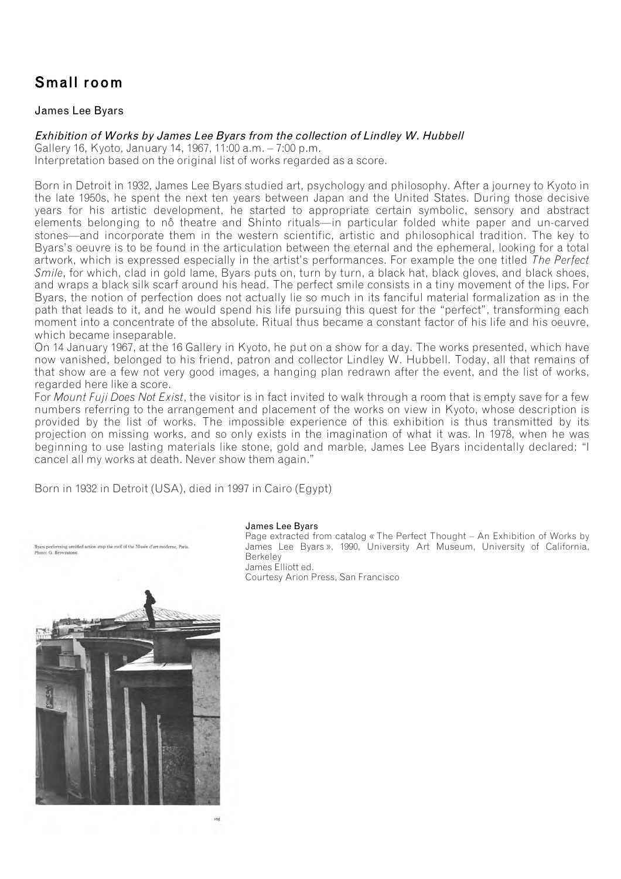## Small room

### James Lee Byars

### Exhibition of Works by James Lee Byars from the collection of Lindley W. Hubbell

Gallery 16, Kyoto, January 14, 1967, 11:00 a.m. – 7:00 p.m. Interpretation based on the original list of works regarded as a score.

Born in Detroit in 1932, James Lee Byars studied art, psychology and philosophy. After a journey to Kyoto in the late 1950s, he spent the next ten years between Japan and the United States. During those decisive years for his artistic development, he started to appropriate certain symbolic, sensory and abstract elements belonging to nô theatre and Shinto rituals—in particular folded white paper and un-carved stones—and incorporate them in the western scientific, artistic and philosophical tradition. The key to Byars's oeuvre is to be found in the articulation between the eternal and the ephemeral, looking for a total artwork, which is expressed especially in the artist's performances. For example the one titled *The Perfect Smile*, for which, clad in gold lame, Byars puts on, turn by turn, a black hat, black gloves, and black shoes, and wraps a black silk scarf around his head. The perfect smile consists in a tiny movement of the lips. For Byars, the notion of perfection does not actually lie so much in its fanciful material formalization as in the path that leads to it, and he would spend his life pursuing this quest for the "perfect", transforming each moment into a concentrate of the absolute. Ritual thus became a constant factor of his life and his oeuvre, which became inseparable.

On 14 January 1967, at the 16 Gallery in Kyoto, he put on a show for a day. The works presented, which have now vanished, belonged to his friend, patron and collector Lindley W. Hubbell. Today, all that remains of that show are a few not very good images, a hanging plan redrawn after the event, and the list of works, regarded here like a score.

For *Mount Fuji Does Not Exist*, the visitor is in fact invited to walk through a room that is empty save for a few numbers referring to the arrangement and placement of the works on view in Kyoto, whose description is provided by the list of works. The impossible experience of this exhibition is thus transmitted by its projection on missing works, and so only exists in the imagination of what it was. In 1978, when he was beginning to use lasting materials like stone, gold and marble, James Lee Byars incidentally declared: "I cancel all my works at death. Never show them again."

Born in 1932 in Detroit (USA), died in 1997 in Cairo (Egypt)

ing untitled action atop the roof of the Musée d'art moderne. Paris ars perform<br>oto: G. Bro



James Lee Byars

Page extracted from catalog « The Perfect Thought – An Exhibition of Works by James Lee Byars », 1990, University Art Museum, University of California, Berkeley James Elliott ed.

Courtesy Arion Press, San Francisco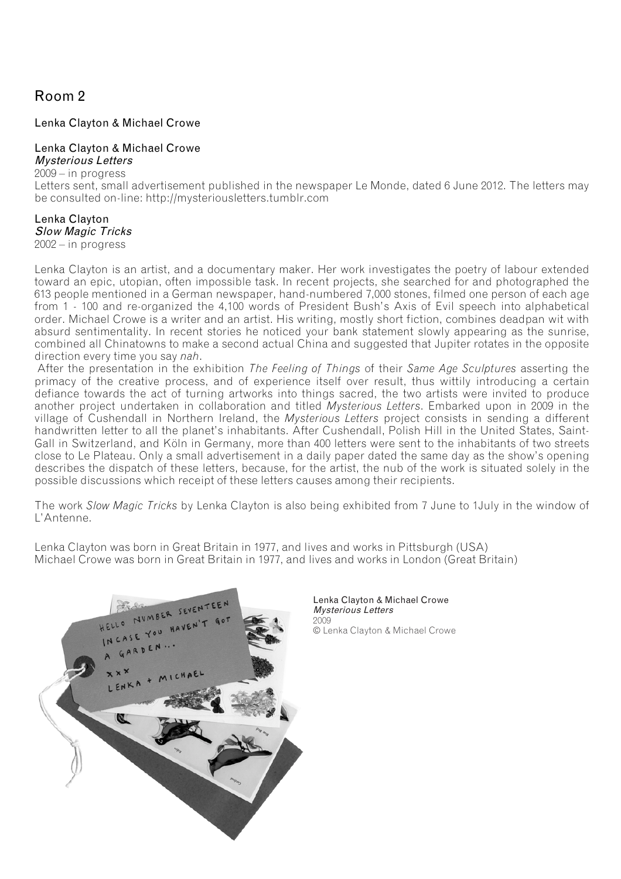## Room 2

### Lenka Clayton & Michael Crowe

### Lenka Clayton & Michael Crowe

Mysterious Letters 2009 – in progress Letters sent, small advertisement published in the newspaper Le Monde, dated 6 June 2012. The letters may be consulted on-line: http://mysteriousletters.tumblr.com

## Lenka Clayton Slow Magic Tricks

2002 – in progress

Lenka Clayton is an artist, and a documentary maker. Her work investigates the poetry of labour extended toward an epic, utopian, often impossible task. In recent projects, she searched for and photographed the 613 people mentioned in a German newspaper, hand-numbered 7,000 stones, filmed one person of each age from 1 - 100 and re-organized the 4,100 words of President Bush's Axis of Evil speech into alphabetical order. Michael Crowe is a writer and an artist. His writing, mostly short fiction, combines deadpan wit with absurd sentimentality. In recent stories he noticed your bank statement slowly appearing as the sunrise, combined all Chinatowns to make a second actual China and suggested that Jupiter rotates in the opposite direction every time you say *nah*.

After the presentation in the exhibition *The Feeling of Things* of their *Same Age Sculptures* asserting the primacy of the creative process, and of experience itself over result, thus wittily introducing a certain defiance towards the act of turning artworks into things sacred, the two artists were invited to produce another project undertaken in collaboration and titled *Mysterious Letters*. Embarked upon in 2009 in the village of Cushendall in Northern Ireland, the *Mysterious Letters* project consists in sending a different handwritten letter to all the planet's inhabitants. After Cushendall, Polish Hill in the United States, Saint-Gall in Switzerland, and Köln in Germany, more than 400 letters were sent to the inhabitants of two streets close to Le Plateau. Only a small advertisement in a daily paper dated the same day as the show's opening describes the dispatch of these letters, because, for the artist, the nub of the work is situated solely in the possible discussions which receipt of these letters causes among their recipients.

The work *Slow Magic Tricks* by Lenka Clayton is also being exhibited from 7 June to 1July in the window of L'Antenne.

Lenka Clayton was born in Great Britain in 1977, and lives and works in Pittsburgh (USA) Michael Crowe was born in Great Britain in 1977, and lives and works in London (Great Britain)



Lenka Clayton & Michael Crowe Mysterious Letters 2009 © Lenka Clayton & Michael Crowe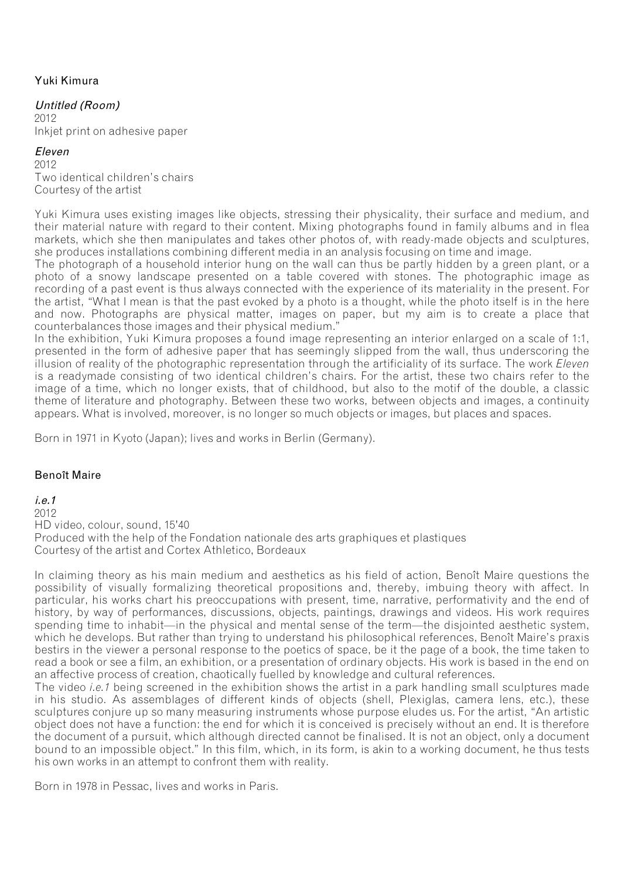## Yuki Kimura

### Untitled (Room)

2012 Inkjet print on adhesive paper

#### Eleven

2012 Two identical children's chairs Courtesy of the artist

Yuki Kimura uses existing images like objects, stressing their physicality, their surface and medium, and their material nature with regard to their content. Mixing photographs found in family albums and in flea markets, which she then manipulates and takes other photos of, with ready-made objects and sculptures, she produces installations combining different media in an analysis focusing on time and image.

The photograph of a household interior hung on the wall can thus be partly hidden by a green plant, or a photo of a snowy landscape presented on a table covered with stones. The photographic image as recording of a past event is thus always connected with the experience of its materiality in the present. For the artist, "What I mean is that the past evoked by a photo is a thought, while the photo itself is in the here and now. Photographs are physical matter, images on paper, but my aim is to create a place that counterbalances those images and their physical medium."

In the exhibition, Yuki Kimura proposes a found image representing an interior enlarged on a scale of 1:1, presented in the form of adhesive paper that has seemingly slipped from the wall, thus underscoring the illusion of reality of the photographic representation through the artificiality of its surface. The work *Eleven*  is a readymade consisting of two identical children's chairs. For the artist, these two chairs refer to the image of a time, which no longer exists, that of childhood, but also to the motif of the double, a classic theme of literature and photography. Between these two works, between objects and images, a continuity appears. What is involved, moreover, is no longer so much objects or images, but places and spaces.

Born in 1971 in Kyoto (Japan); lives and works in Berlin (Germany).

### Benoît Maire

i.e.1

2012 HD video, colour, sound, 15'40 Produced with the help of the Fondation nationale des arts graphiques et plastiques Courtesy of the artist and Cortex Athletico, Bordeaux

In claiming theory as his main medium and aesthetics as his field of action, Benoît Maire questions the possibility of visually formalizing theoretical propositions and, thereby, imbuing theory with affect. In particular, his works chart his preoccupations with present, time, narrative, performativity and the end of history, by way of performances, discussions, objects, paintings, drawings and videos. His work requires spending time to inhabit—in the physical and mental sense of the term—the disjointed aesthetic system, which he develops. But rather than trying to understand his philosophical references, Benoît Maire's praxis bestirs in the viewer a personal response to the poetics of space, be it the page of a book, the time taken to read a book or see a film, an exhibition, or a presentation of ordinary objects. His work is based in the end on an affective process of creation, chaotically fuelled by knowledge and cultural references.

The video *i.e.1* being screened in the exhibition shows the artist in a park handling small sculptures made in his studio. As assemblages of different kinds of objects (shell, Plexiglas, camera lens, etc.), these sculptures conjure up so many measuring instruments whose purpose eludes us. For the artist, "An artistic object does not have a function: the end for which it is conceived is precisely without an end. It is therefore the document of a pursuit, which although directed cannot be finalised. It is not an object, only a document bound to an impossible object." In this film, which, in its form, is akin to a working document, he thus tests his own works in an attempt to confront them with reality.

Born in 1978 in Pessac, lives and works in Paris.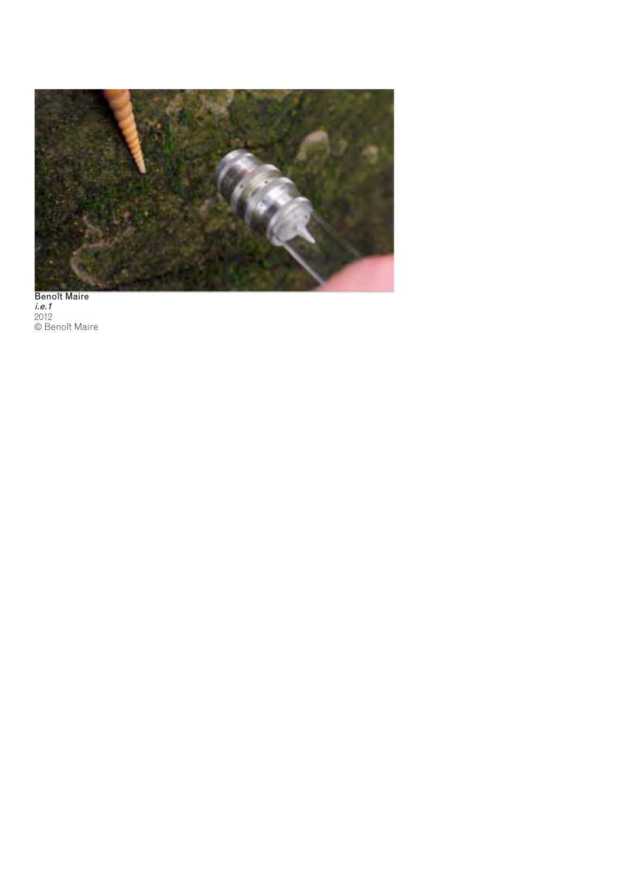

Benoît Maire i.e.1 2012 © Benoît Maire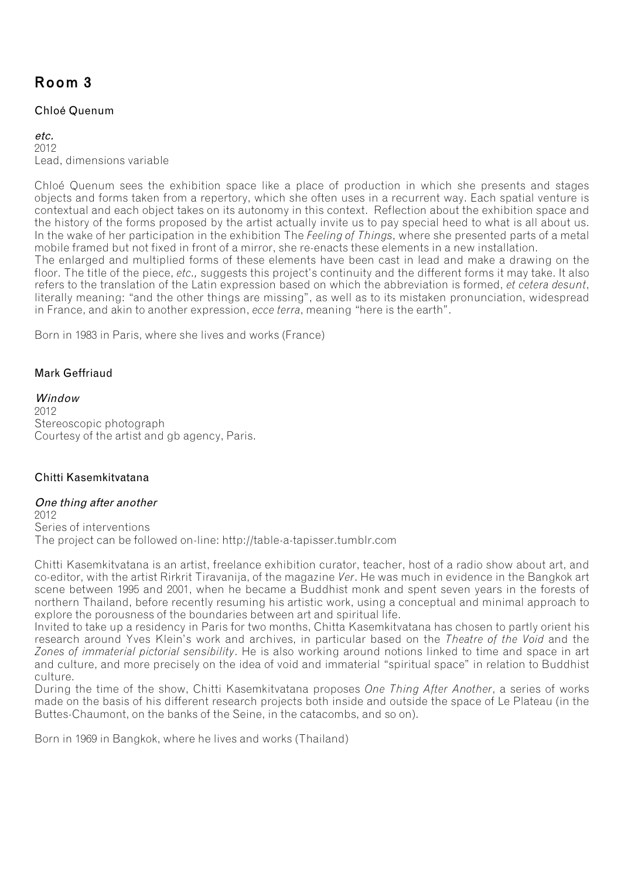## Room 3

### Chloé Quenum

 $_{\mathbf{a}^{\dagger}c}$ 2012 Lead, dimensions variable

Chloé Quenum sees the exhibition space like a place of production in which she presents and stages objects and forms taken from a repertory, which she often uses in a recurrent way. Each spatial venture is contextual and each object takes on its autonomy in this context. Reflection about the exhibition space and the history of the forms proposed by the artist actually invite us to pay special heed to what is all about us. In the wake of her participation in the exhibition The *Feeling of Things*, where she presented parts of a metal mobile framed but not fixed in front of a mirror, she re-enacts these elements in a new installation.

The enlarged and multiplied forms of these elements have been cast in lead and make a drawing on the floor. The title of the piece, *etc.*, suggests this project's continuity and the different forms it may take. It also refers to the translation of the Latin expression based on which the abbreviation is formed, *et cetera desunt*, literally meaning: "and the other things are missing", as well as to its mistaken pronunciation, widespread in France, and akin to another expression, *ecce terra*, meaning "here is the earth".

Born in 1983 in Paris, where she lives and works (France)

### Mark Geffriaud

Window 2012 Stereoscopic photograph Courtesy of the artist and gb agency, Paris.

### Chitti Kasemkitvatana

### One thing after another

2012 Series of interventions The project can be followed on-line: http://table-a-tapisser.tumblr.com

Chitti Kasemkitvatana is an artist, freelance exhibition curator, teacher, host of a radio show about art, and co-editor, with the artist Rirkrit Tiravanija, of the magazine *Ver*. He was much in evidence in the Bangkok art scene between 1995 and 2001, when he became a Buddhist monk and spent seven years in the forests of northern Thailand, before recently resuming his artistic work, using a conceptual and minimal approach to explore the porousness of the boundaries between art and spiritual life.

Invited to take up a residency in Paris for two months, Chitta Kasemkitvatana has chosen to partly orient his research around Yves Klein's work and archives, in particular based on the *Theatre of the Void* and the *Zones of immaterial pictorial sensibility*. He is also working around notions linked to time and space in art and culture, and more precisely on the idea of void and immaterial "spiritual space" in relation to Buddhist culture.

During the time of the show, Chitti Kasemkitvatana proposes *One Thing After Another*, a series of works made on the basis of his different research projects both inside and outside the space of Le Plateau (in the Buttes-Chaumont, on the banks of the Seine, in the catacombs, and so on).

Born in 1969 in Bangkok, where he lives and works (Thailand)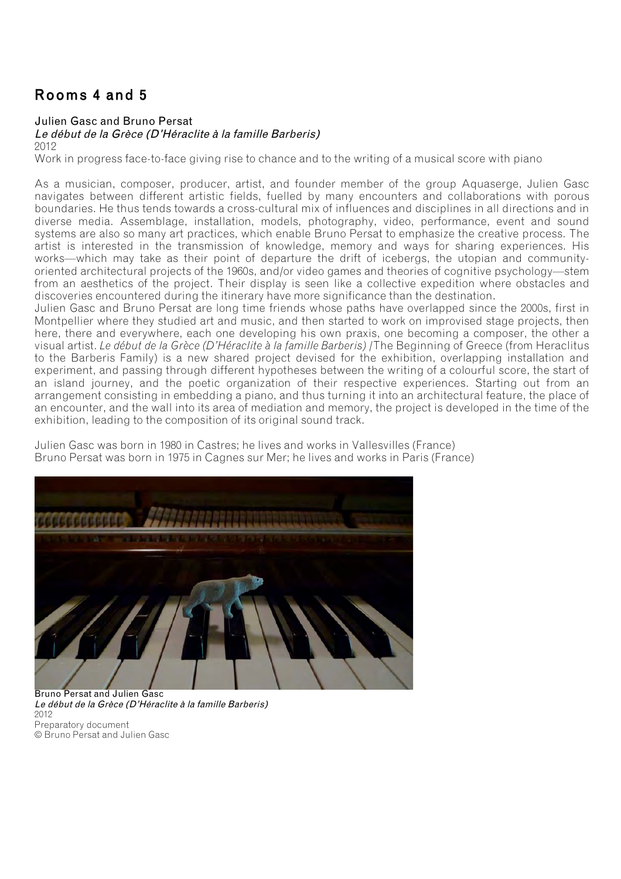## Rooms 4 and 5

### Julien Gasc and Bruno Persat

Le début de la Grèce (D'Héraclite à la famille Barberis)

2012

Work in progress face-to-face giving rise to chance and to the writing of a musical score with piano

As a musician, composer, producer, artist, and founder member of the group Aquaserge, Julien Gasc navigates between different artistic fields, fuelled by many encounters and collaborations with porous boundaries. He thus tends towards a cross-cultural mix of influences and disciplines in all directions and in diverse media. Assemblage, installation, models, photography, video, performance, event and sound systems are also so many art practices, which enable Bruno Persat to emphasize the creative process. The artist is interested in the transmission of knowledge, memory and ways for sharing experiences. His works—which may take as their point of departure the drift of icebergs, the utopian and communityoriented architectural projects of the 1960s, and/or video games and theories of cognitive psychology—stem from an aesthetics of the project. Their display is seen like a collective expedition where obstacles and discoveries encountered during the itinerary have more significance than the destination.

Julien Gasc and Bruno Persat are long time friends whose paths have overlapped since the 2000s, first in Montpellier where they studied art and music, and then started to work on improvised stage projects, then here, there and everywhere, each one developing his own praxis, one becoming a composer, the other a visual artist. *Le début de la Grèce (D'Héraclite à la famille Barberis) /*The Beginning of Greece (from Heraclitus to the Barberis Family) is a new shared project devised for the exhibition, overlapping installation and experiment, and passing through different hypotheses between the writing of a colourful score, the start of an island journey, and the poetic organization of their respective experiences. Starting out from an arrangement consisting in embedding a piano, and thus turning it into an architectural feature, the place of an encounter, and the wall into its area of mediation and memory, the project is developed in the time of the exhibition, leading to the composition of its original sound track.

Julien Gasc was born in 1980 in Castres; he lives and works in Vallesvilles (France) Bruno Persat was born in 1975 in Cagnes sur Mer; he lives and works in Paris (France)



Bruno Persat and Julien Gasc Le début de la Grèce (D'Héraclite à la famille Barberis) 2012 Preparatory document © Bruno Persat and Julien Gasc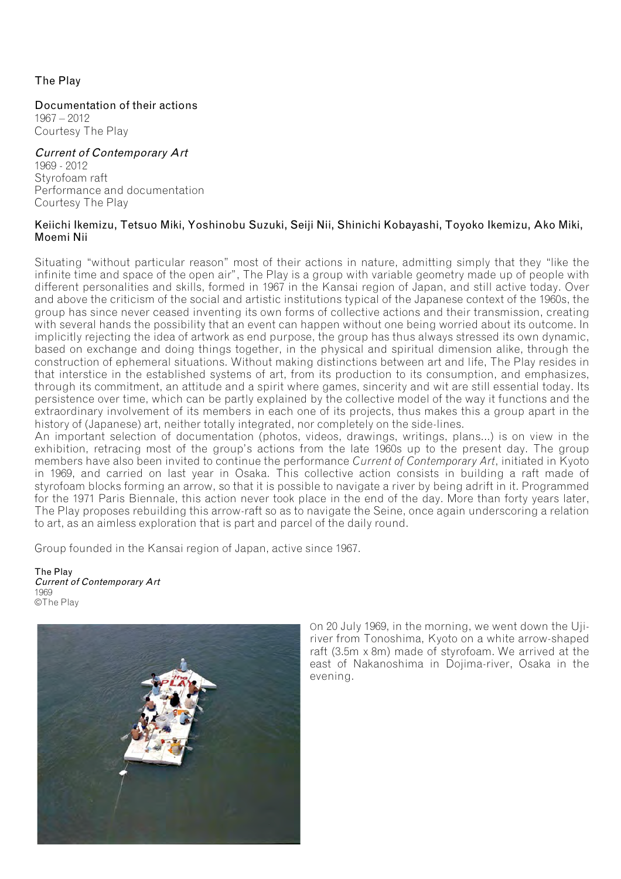### The Play

Documentation of their actions 1967 – 2012 Courtesy The Play

## Current of Contemporary Art

1969 - 2012 Styrofoam raft Performance and documentation Courtesy The Play

#### Keiichi Ikemizu, Tetsuo Miki, Yoshinobu Suzuki, Seiji Nii, Shinichi Kobayashi, Toyoko Ikemizu, Ako Miki, Moemi Nii

Situating "without particular reason" most of their actions in nature, admitting simply that they "like the infinite time and space of the open air", The Play is a group with variable geometry made up of people with different personalities and skills, formed in 1967 in the Kansai region of Japan, and still active today. Over and above the criticism of the social and artistic institutions typical of the Japanese context of the 1960s, the group has since never ceased inventing its own forms of collective actions and their transmission, creating with several hands the possibility that an event can happen without one being worried about its outcome. In implicitly rejecting the idea of artwork as end purpose, the group has thus always stressed its own dynamic, based on exchange and doing things together, in the physical and spiritual dimension alike, through the construction of ephemeral situations. Without making distinctions between art and life, The Play resides in that interstice in the established systems of art, from its production to its consumption, and emphasizes, through its commitment, an attitude and a spirit where games, sincerity and wit are still essential today. Its persistence over time, which can be partly explained by the collective model of the way it functions and the extraordinary involvement of its members in each one of its projects, thus makes this a group apart in the history of (Japanese) art, neither totally integrated, nor completely on the side-lines.

An important selection of documentation (photos, videos, drawings, writings, plans...) is on view in the exhibition, retracing most of the group's actions from the late 1960s up to the present day. The group members have also been invited to continue the performance *Current of Contemporary Art*, initiated in Kyoto in 1969, and carried on last year in Osaka. This collective action consists in building a raft made of styrofoam blocks forming an arrow, so that it is possible to navigate a river by being adrift in it. Programmed for the 1971 Paris Biennale, this action never took place in the end of the day. More than forty years later, The Play proposes rebuilding this arrow-raft so as to navigate the Seine, once again underscoring a relation to art, as an aimless exploration that is part and parcel of the daily round.

Group founded in the Kansai region of Japan, active since 1967.

The Play Current of Contemporary Art 1969 ©The Play



On 20 July 1969, in the morning, we went down the Ujiriver from Tonoshima, Kyoto on a white arrow-shaped raft (3.5m x 8m) made of styrofoam. We arrived at the east of Nakanoshima in Dojima-river, Osaka in the evening.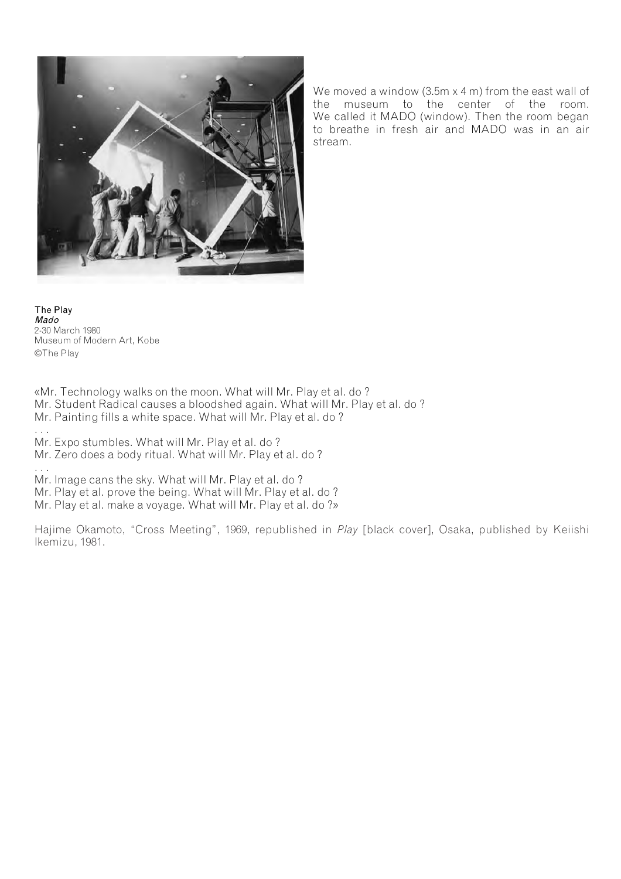

We moved a window (3.5m x 4 m) from the east wall of the museum to the center of the room. We called it MADO (window). Then the room began to breathe in fresh air and MADO was in an air stream.

The Play Mado 2-30 March 1980 Museum of Modern Art, Kobe ©The Play

«Mr. Technology walks on the moon. What will Mr. Play et al. do ? Mr. Student Radical causes a bloodshed again. What will Mr. Play et al. do ? Mr. Painting fills a white space. What will Mr. Play et al. do ?

. . .

Mr. Expo stumbles. What will Mr. Play et al. do ?

Mr. Zero does a body ritual. What will Mr. Play et al. do ?

. . . Mr. Image cans the sky. What will Mr. Play et al. do ?

Mr. Play et al. prove the being. What will Mr. Play et al. do ?

Mr. Play et al. make a voyage. What will Mr. Play et al. do ?»

Hajime Okamoto, "Cross Meeting", 1969, republished in *Play* [black cover], Osaka, published by Keiishi Ikemizu, 1981.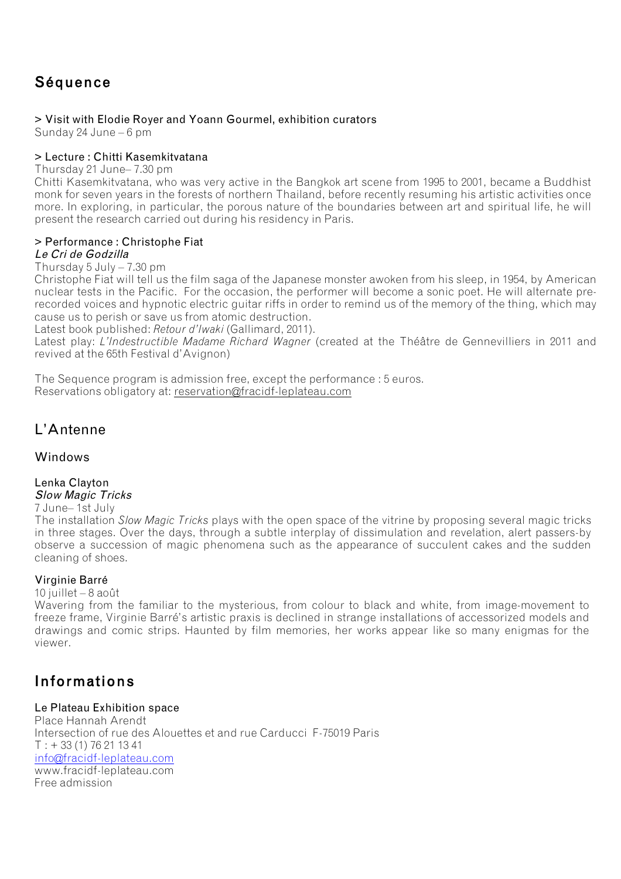## Séquence

### > Visit with Elodie Royer and Yoann Gourmel, exhibition curators

Sunday 24 June – 6 pm

### > Lecture : Chitti Kasemkitvatana

Thursday 21 June– 7.30 pm

Chitti Kasemkitvatana, who was very active in the Bangkok art scene from 1995 to 2001, became a Buddhist monk for seven years in the forests of northern Thailand, before recently resuming his artistic activities once more. In exploring, in particular, the porous nature of the boundaries between art and spiritual life, he will present the research carried out during his residency in Paris.

#### > Performance : Christophe Fiat Le Cri de Godzilla

Thursday  $5$  July  $-7.30$  pm

Christophe Fiat will tell us the film saga of the Japanese monster awoken from his sleep, in 1954, by American nuclear tests in the Pacific. For the occasion, the performer will become a sonic poet. He will alternate prerecorded voices and hypnotic electric guitar riffs in order to remind us of the memory of the thing, which may cause us to perish or save us from atomic destruction.

Latest book published: *Retour d'Iwaki* (Gallimard, 2011).

Latest play: *L'Indestructible Madame Richard Wagner* (created at the Théâtre de Gennevilliers in 2011 and revived at the 65th Festival d'Avignon)

The Sequence program is admission free, except the performance : 5 euros. Reservations obligatory at: reservation@fracidf-leplateau.com

## L'Antenne

### Windows

#### Lenka Clayton Slow Magic Tricks

7 June– 1st July

The installation *Slow Magic Tricks* plays with the open space of the vitrine by proposing several magic tricks in three stages. Over the days, through a subtle interplay of dissimulation and revelation, alert passers-by observe a succession of magic phenomena such as the appearance of succulent cakes and the sudden cleaning of shoes.

### Virginie Barré

10 juillet – 8 août

Wavering from the familiar to the mysterious, from colour to black and white, from image-movement to freeze frame, Virginie Barré's artistic praxis is declined in strange installations of accessorized models and drawings and comic strips. Haunted by film memories, her works appear like so many enigmas for the viewer.

## Informations

### Le Plateau Exhibition space

Place Hannah Arendt Intersection of rue des Alouettes et and rue Carducci F-75019 Paris  $T : + 33(1)76211341$ info@fracidf-leplateau.com www.fracidf-leplateau.com Free admission